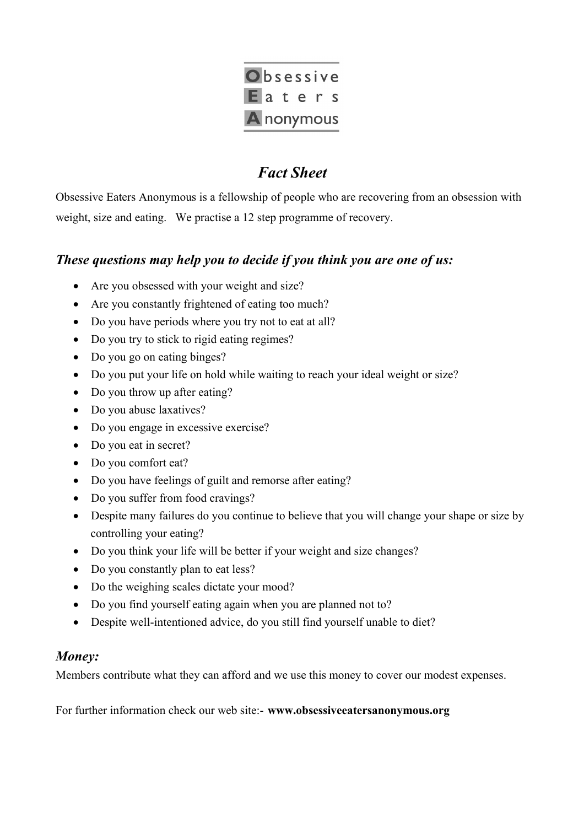

# *Fact Sheet*

Obsessive Eaters Anonymous is a fellowship of people who are recovering from an obsession with weight, size and eating. We practise a 12 step programme of recovery.

## *These questions may help you to decide if you think you are one of us:*

- Are you obsessed with your weight and size?
- Are you constantly frightened of eating too much?
- Do you have periods where you try not to eat at all?
- Do you try to stick to rigid eating regimes?
- Do you go on eating binges?
- Do you put your life on hold while waiting to reach your ideal weight or size?
- Do you throw up after eating?
- Do you abuse laxatives?
- Do you engage in excessive exercise?
- Do you eat in secret?
- Do you comfort eat?
- Do you have feelings of guilt and remorse after eating?
- Do you suffer from food cravings?
- Despite many failures do you continue to believe that you will change your shape or size by controlling your eating?
- Do you think your life will be better if your weight and size changes?
- Do you constantly plan to eat less?
- Do the weighing scales dictate your mood?
- Do you find yourself eating again when you are planned not to?
- Despite well-intentioned advice, do you still find yourself unable to diet?

### *Money:*

Members contribute what they can afford and we use this money to cover our modest expenses.

For further information check our web site:- **www.obsessiveeatersanonymous.org**